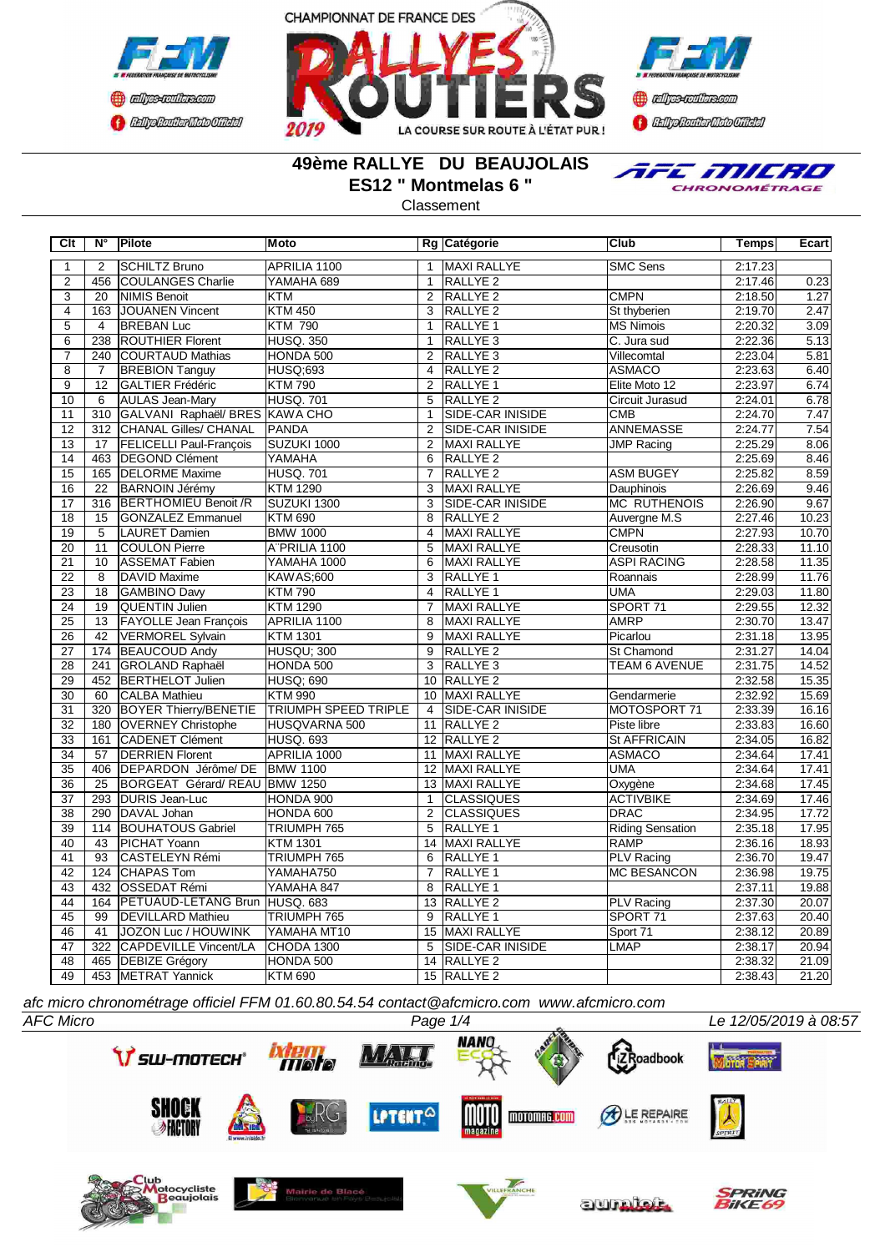





## **49ème RALLYE DU BEAUJOLAIS ES12 " Montmelas 6 "**

TFE MILRO CHRONOMÉTRAGE

Classement

| Clt             | N°               | Pilote                         | Moto                        |                 | Rg Catégorie            | Club                    | <b>Temps</b> | Ecart |
|-----------------|------------------|--------------------------------|-----------------------------|-----------------|-------------------------|-------------------------|--------------|-------|
| 1               | $\overline{2}$   | <b>SCHILTZ Bruno</b>           | APRILIA 1100                | $\mathbf{1}$    | <b>MAXI RALLYE</b>      | <b>SMC Sens</b>         | 2:17.23      |       |
| $\overline{2}$  | 456              | COULANGES Charlie              | YAMAHA 689                  | $\overline{1}$  | <b>RALLYE 2</b>         |                         | 2:17.46      | 0.23  |
| $\overline{3}$  | $\overline{20}$  | <b>NIMIS Benoit</b>            | <b>KTM</b>                  | $\overline{2}$  | RALLYE <sub>2</sub>     | <b>CMPN</b>             | 2:18.50      | 1.27  |
| $\overline{4}$  | 163              | JOUANEN Vincent                | <b>KTM 450</b>              | $\overline{3}$  | <b>RALLYE 2</b>         | St thyberien            | 2:19.70      | 2.47  |
| $\overline{5}$  | $\overline{4}$   | <b>BREBAN Luc</b>              | <b>KTM 790</b>              | $\mathbf{1}$    | <b>RALLYE 1</b>         | <b>MS Nimois</b>        | 2:20.32      | 3.09  |
| $\overline{6}$  | 238              | <b>ROUTHIER Florent</b>        | <b>HUSQ. 350</b>            | $\mathbf{1}$    | RALLYE <sub>3</sub>     | C. Jura sud             | 2:22.36      | 5.13  |
| $\overline{7}$  | 240              | <b>COURTAUD Mathias</b>        | HONDA 500                   | $\overline{2}$  | RALLYE <sub>3</sub>     | Villecomtal             | 2:23.04      | 5.81  |
| $\overline{8}$  | $\overline{7}$   | <b>BREBION Tanguy</b>          | <b>HUSQ:693</b>             | $\overline{4}$  | <b>RALLYE 2</b>         | <b>ASMACO</b>           | 2:23.63      | 6.40  |
| $\overline{9}$  | $\overline{12}$  | GALTIER Frédéric               | <b>KTM790</b>               | 2               | <b>RALLYE 1</b>         | Elite Moto 12           | 2:23.97      | 6.74  |
| 10              | 6                | <b>AULAS Jean-Mary</b>         | <b>HUSQ. 701</b>            | 5               | <b>RALLYE 2</b>         | Circuit Jurasud         | 2:24.01      | 6.78  |
| 11              | $\overline{310}$ | GALVANI Raphaël/ BRES KAWA CHO |                             | $\mathbf{1}$    | <b>SIDE-CAR INISIDE</b> | CMB                     | 2:24.70      | 7.47  |
| $\overline{12}$ | 312              | <b>CHANAL Gilles/ CHANAL</b>   | <b>PANDA</b>                | $\overline{2}$  | SIDE-CAR INISIDE        | <b>ANNEMASSE</b>        | 2:24.77      | 7.54  |
| 13              | $\overline{17}$  | <b>FELICELLI Paul-François</b> | SUZUKI 1000                 | $\overline{2}$  | <b>MAXI RALLYE</b>      | <b>JMP Racing</b>       | 2:25.29      | 8.06  |
| $\overline{14}$ | 463              | <b>DEGOND Clément</b>          | <b>YAMAHA</b>               | 6               | RALLYE <sub>2</sub>     |                         | 2:25.69      | 8.46  |
| $\overline{15}$ | 165              | <b>DELORME</b> Maxime          | <b>HUSQ. 701</b>            | $\overline{7}$  | <b>RALLYE 2</b>         | <b>ASM BUGEY</b>        | 2:25.82      | 8.59  |
| $\overline{16}$ | $\overline{22}$  | <b>BARNOIN Jérémy</b>          | <b>KTM 1290</b>             | $\overline{3}$  | <b>MAXI RALLYE</b>      | Dauphinois              | 2:26.69      | 9.46  |
| $\overline{17}$ | 316              | <b>BERTHOMIEU Benoit /R</b>    | SUZUKI 1300                 | 3               | SIDE-CAR INISIDE        | <b>MC RUTHENOIS</b>     | 2:26.90      | 9.67  |
| $\overline{18}$ | $\overline{15}$  | <b>GONZALEZ Emmanuel</b>       | <b>KTM 690</b>              | $\overline{8}$  | <b>RALLYE 2</b>         | Auvergne M.S            | 2:27.46      | 10.23 |
| $\overline{19}$ | $\overline{5}$   | <b>LAURET Damien</b>           | <b>BMW 1000</b>             | $\overline{4}$  | <b>MAXI RALLYE</b>      | <b>CMPN</b>             | 2:27.93      | 10.70 |
| 20              | 11               | <b>COULON Pierre</b>           | A"PRILIA 1100               | 5               | MAXI RALLYE             | Creusotin               | 2:28.33      | 11.10 |
| $\overline{21}$ | 10               | <b>ASSEMAT Fabien</b>          | YAMAHA 1000                 | 6               | MAXI RALLYE             | <b>ASPI RACING</b>      | 2:28.58      | 11.35 |
| $\overline{22}$ | $\overline{8}$   | DAVID Maxime                   | <b>KAWAS;600</b>            | $\overline{3}$  | <b>RALLYE 1</b>         | Roannais                | 2:28.99      | 11.76 |
| $\overline{23}$ | $\overline{18}$  | <b>GAMBINO Davy</b>            | <b>KTM790</b>               | $\overline{4}$  | <b>RALLYE 1</b>         | <b>UMA</b>              | 2:29.03      | 11.80 |
| $\overline{24}$ | $\overline{19}$  | <b>QUENTIN Julien</b>          | <b>KTM 1290</b>             | $\overline{7}$  | <b>MAXI RALLYE</b>      | SPORT 71                | 2:29.55      | 12.32 |
| $\overline{25}$ | $\overline{13}$  | <b>FAYOLLE Jean François</b>   | APRILIA 1100                | $\overline{8}$  | <b>MAXI RALLYE</b>      | <b>AMRP</b>             | 2:30.70      | 13.47 |
| $\overline{26}$ | $\overline{42}$  | <b>VERMOREL Sylvain</b>        | <b>KTM 1301</b>             | $\overline{9}$  | <b>MAXI RALLYE</b>      | Picarlou                | 2:31.18      | 13.95 |
| $\overline{27}$ | 174              | <b>BEAUCOUD Andy</b>           | HUSQU; 300                  | 9               | RALLYE <sub>2</sub>     | St Chamond              | 2:31.27      | 14.04 |
| $\overline{28}$ | 241              | <b>GROLAND Raphaël</b>         | HONDA 500                   | 3               | RALLYE <sub>3</sub>     | <b>TEAM 6 AVENUE</b>    | 2:31.75      | 14.52 |
| 29              | 452              | <b>BERTHELOT Julien</b>        | <b>HUSQ; 690</b>            |                 | 10 RALLYE 2             |                         | 2:32.58      | 15.35 |
| 30              | 60               | <b>CALBA Mathieu</b>           | <b>KTM 990</b>              |                 | 10 MAXI RALLYE          | Gendarmerie             | 2:32.92      | 15.69 |
| $\overline{31}$ | $\overline{320}$ | <b>BOYER Thierry/BENETIE</b>   | <b>TRIUMPH SPEED TRIPLE</b> | $\overline{4}$  | <b>SIDE-CAR INISIDE</b> | MOTOSPORT 71            | 2:33.39      | 16.16 |
| $\overline{32}$ | 180              | <b>OVERNEY Christophe</b>      | HUSQVARNA 500               | 11              | <b>RALLYE 2</b>         | Piste libre             | 2:33.83      | 16.60 |
| $\overline{33}$ | 161              | <b>CADENET Clément</b>         | <b>HUSQ. 693</b>            |                 | 12 RALLYE 2             | <b>St AFFRICAIN</b>     | 2:34.05      | 16.82 |
| $\overline{34}$ | $\overline{57}$  | <b>DERRIEN Florent</b>         | APRILIA 1000                | $\overline{11}$ | <b>MAXI RALLYE</b>      | <b>ASMACO</b>           | 2:34.64      | 17.41 |
| $\overline{35}$ | 406              | <b>IDEPARDON</b> Jérôme/DE     | <b>BMW 1100</b>             | 12              | <b>MAXI RALLYE</b>      | <b>UMA</b>              | 2:34.64      | 17.41 |
| $\overline{36}$ | $\overline{25}$  | BORGEAT Gérard/REAU BMW 1250   |                             |                 | 13 MAXI RALLYE          | Oxygène                 | 2:34.68      | 17.45 |
| $\overline{37}$ | 293              | <b>DURIS Jean-Luc</b>          | HONDA 900                   | $\mathbf{1}$    | <b>CLASSIQUES</b>       | <b>ACTIVBIKE</b>        | 2:34.69      | 17.46 |
| $\overline{38}$ | 290              | DAVAL Johan                    | HONDA 600                   | $\overline{2}$  | <b>CLASSIQUES</b>       | <b>DRAC</b>             | 2:34.95      | 17.72 |
| 39              | 114              | <b>BOUHATOUS Gabriel</b>       | TRIUMPH 765                 | $\overline{5}$  | RALLYE <sub>1</sub>     | <b>Riding Sensation</b> | 2:35.18      | 17.95 |
| 40              | 43               | <b>PICHAT Yoann</b>            | <b>KTM 1301</b>             | $\overline{14}$ | <b>MAXI RALLYE</b>      | <b>RAMP</b>             | 2:36.16      | 18.93 |
| 41              | $\overline{93}$  | <b>CASTELEYN Rémi</b>          | TRIUMPH 765                 | 6               | <b>RALLYE 1</b>         | <b>PLV Racing</b>       | 2:36.70      | 19.47 |
| $\overline{42}$ | 124              | <b>CHAPAS Tom</b>              | YAMAHA750                   | $\overline{7}$  | <b>RALLYE 1</b>         | <b>MC BESANCON</b>      | 2:36.98      | 19.75 |
| 43              | 432              | <b>OSSEDAT Rémi</b>            | YAMAHA 847                  | $\overline{8}$  | <b>RALLYE 1</b>         |                         | 2:37.11      | 19.88 |
| $\overline{44}$ | 164              | <b>PETUAUD-LETANG Brun</b>     | <b>HUSQ. 683</b>            |                 | 13 RALLYE 2             | <b>PLV Racing</b>       | 2:37.30      | 20.07 |
| 45              | 99               | <b>DEVILLARD Mathieu</b>       | TRIUMPH 765                 | 9               | <b>RALLYE 1</b>         | SPORT 71                | 2:37.63      | 20.40 |
| 46              | $\overline{41}$  | JOZON Luc / HOUWINK            | YAMAHA MT10                 |                 | 15 MAXI RALLYE          | Sport 71                | 2:38.12      | 20.89 |
| $\overline{47}$ | $\overline{322}$ | CAPDEVILLE Vincent/LA          | CHODA 1300                  | 5               | <b>SIDE-CAR INISIDE</b> | <b>LMAP</b>             | 2:38.17      | 20.94 |
| 48              | 465              | <b>DEBIZE Grégory</b>          | HONDA 500                   |                 | 14 RALLYE 2             |                         | 2:38.32      | 21.09 |
| 49              | 453              | <b>METRAT Yannick</b>          | <b>KTM 690</b>              |                 | 15 RALLYE 2             |                         | 2:38.43      | 21.20 |

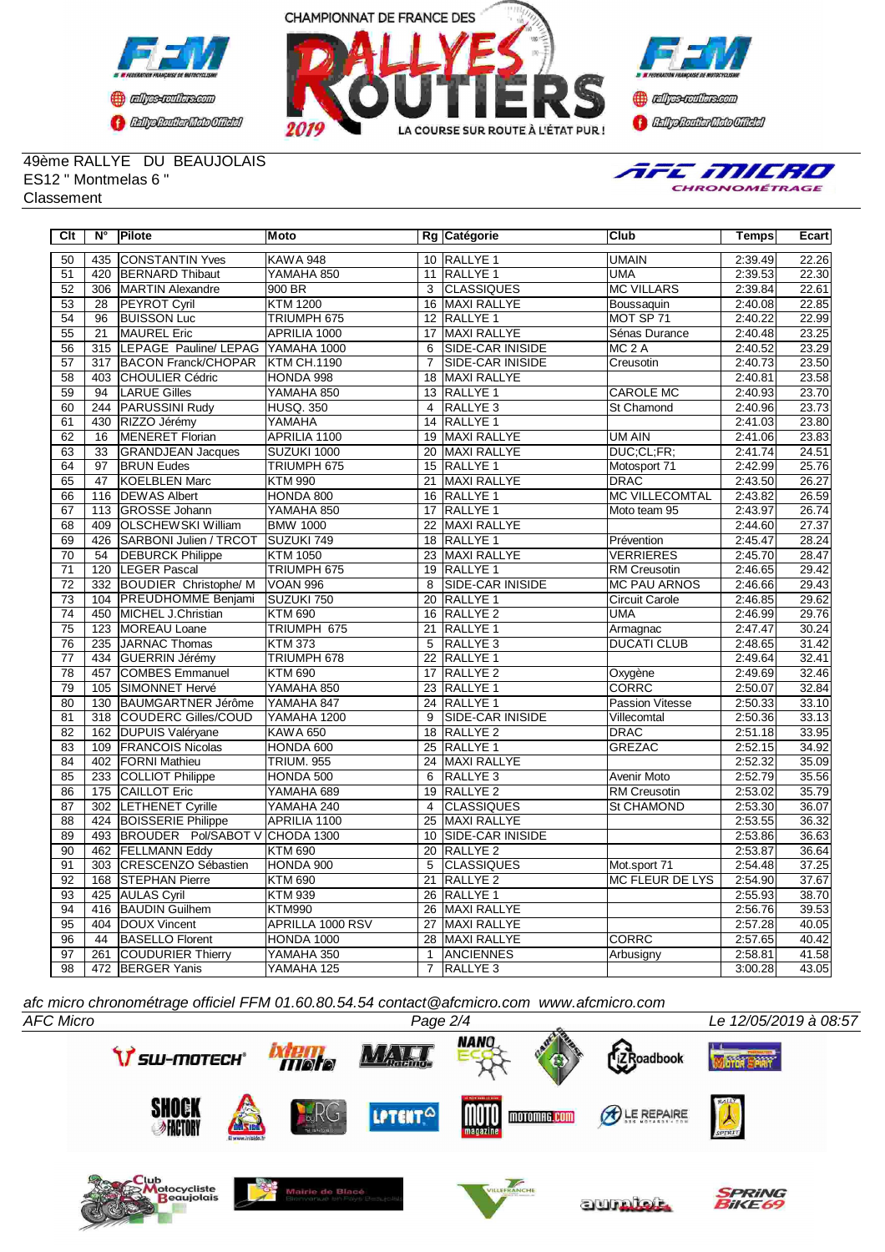





49ème RALLYE DU BEAUJOLAIS ES12 " Montmelas 6 " Classement



| $\overline{C}$ It | $\overline{\mathsf{N}^{\circ}}$ | Pilote                            | <b>Moto</b>       |                 | Rg Catégorie            | Club                   | <b>Temps</b> | Ecart |
|-------------------|---------------------------------|-----------------------------------|-------------------|-----------------|-------------------------|------------------------|--------------|-------|
| 50                | 435                             | <b>CONSTANTIN Yves</b>            | <b>KAWA 948</b>   |                 | 10 RALLYE 1             | <b>UMAIN</b>           | 2:39.49      | 22.26 |
| $\overline{51}$   | 420                             | <b>BERNARD</b> Thibaut            | YAMAHA 850        |                 | 11 RALLYE 1             | <b>UMA</b>             | 2:39.53      | 22.30 |
| 52                | $\overline{306}$                | <b>MARTIN Alexandre</b>           | 900 BR            | 3               | <b>CLASSIQUES</b>       | <b>MC VILLARS</b>      | 2:39.84      | 22.61 |
| 53                | 28                              | <b>PEYROT Cyril</b>               | <b>KTM 1200</b>   | 16              | MAXI RALLYE             | Boussaquin             | 2:40.08      | 22.85 |
| $\overline{54}$   | $\overline{96}$                 | <b>BUISSON Luc</b>                | TRIUMPH 675       | 12              | <b>RALLYE 1</b>         | MOT SP 71              | 2:40.22      | 22.99 |
| 55                | 21                              | MAUREL Eric                       | APRILIA 1000      | 17              | MAXI RALLYE             | Sénas Durance          | 2:40.48      | 23.25 |
| 56                | 315                             | LEPAGE Pauline/ LEPAG YAMAHA 1000 |                   | 6               | <b>SIDE-CAR INISIDE</b> | MC <sub>2</sub> A      | 2:40.52      | 23.29 |
| 57                | $\overline{317}$                | <b>BACON Franck/CHOPAR</b>        | KTM CH.1190       | $\overline{7}$  | <b>SIDE-CAR INISIDE</b> | Creusotin              | 2:40.73      | 23.50 |
| $\overline{58}$   | 403                             | <b>CHOULIER Cédric</b>            | HONDA 998         |                 | 18 MAXI RALLYE          |                        | 2:40.81      | 23.58 |
| 59                | 94                              | <b>LARUE Gilles</b>               | YAMAHA 850        |                 | 13 RALLYE 1             | <b>CAROLE MC</b>       | 2:40.93      | 23.70 |
| 60                | 244                             | <b>PARUSSINI Rudy</b>             | <b>HUSQ. 350</b>  | $\overline{4}$  | <b>RALLYE 3</b>         | <b>St Chamond</b>      | 2:40.96      | 23.73 |
| 61                | 430                             | RIZZO Jérémy                      | YAMAHA            | 14              | <b>RALLYE 1</b>         |                        | 2:41.03      | 23.80 |
| 62                | $\overline{16}$                 | <b>MENERET Florian</b>            | APRILIA 1100      | $\overline{19}$ | <b>MAXI RALLYE</b>      | <b>UM AIN</b>          | 2:41.06      | 23.83 |
| 63                | 33                              | <b>GRANDJEAN Jacques</b>          | SUZUKI 1000       | 20              | <b>MAXI RALLYE</b>      | DUC;CL;FR;             | 2:41.74      | 24.51 |
| 64                | $\overline{97}$                 | <b>BRUN Eudes</b>                 | TRIUMPH 675       |                 | 15 RALLYE 1             | Motosport 71           | 2:42.99      | 25.76 |
| 65                | 47                              | KOELBLEN Marc                     | <b>KTM 990</b>    | 21              | MAXI RALLYE             | <b>DRAC</b>            | 2:43.50      | 26.27 |
| 66                | 116                             | <b>DEWAS Albert</b>               | HONDA 800         |                 | 16 RALLYE 1             | <b>MC VILLECOMTAL</b>  | 2:43.82      | 26.59 |
| 67                | 113                             | <b>GROSSE Johann</b>              | YAMAHA 850        | 17              | <b>RALLYE 1</b>         | Moto team 95           | 2:43.97      | 26.74 |
| 68                | 409                             | <b>OLSCHEWSKI William</b>         | <b>BMW 1000</b>   | $\overline{22}$ | <b>MAXI RALLYE</b>      |                        | 2:44.60      | 27.37 |
| 69                | 426                             | <b>SARBONI Julien / TRCOT</b>     | SUZUKI 749        | $\overline{18}$ | <b>RALLYE 1</b>         | Prévention             | 2:45.47      | 28.24 |
| $\overline{70}$   | 54                              | <b>DEBURCK Philippe</b>           | <b>KTM 1050</b>   | 23              | <b>MAXI RALLYE</b>      | <b>VERRIERES</b>       | 2:45.70      | 28.47 |
| 71                | 120                             | <b>LEGER Pascal</b>               | TRIUMPH 675       | $\overline{19}$ | <b>RALLYE 1</b>         | <b>RM Creusotin</b>    | 2:46.65      | 29.42 |
| 72                | 332                             | <b>BOUDIER Christophe/ M</b>      | <b>VOAN 996</b>   | 8               | <b>SIDE-CAR INISIDE</b> | <b>MC PAU ARNOS</b>    | 2:46.66      | 29.43 |
| 73                | 104                             | <b>PREUDHOMME Benjami</b>         | SUZUKI 750        | 20              | RALLYE <sub>1</sub>     | <b>Circuit Carole</b>  | 2:46.85      | 29.62 |
| $\overline{74}$   | 450                             | MICHEL J.Christian                | <b>KTM 690</b>    |                 | 16 RALLYE 2             | <b>UMA</b>             | 2:46.99      | 29.76 |
| 75                | 123                             | MOREAU Loane                      | TRIUMPH 675       | 21              | RALLYE <sub>1</sub>     | Armagnac               | 2:47.47      | 30.24 |
| 76                | 235                             | JARNAC Thomas                     | <b>KTM 373</b>    | 5               | <b>RALLYE 3</b>         | <b>DUCATI CLUB</b>     | 2:48.65      | 31.42 |
| $\overline{77}$   | 434                             | <b>GUERRIN Jérémy</b>             | TRIUMPH 678       | $\overline{22}$ | <b>RALLYE 1</b>         |                        | 2:49.64      | 32.41 |
| $\overline{78}$   | 457                             | <b>COMBES Emmanuel</b>            | <b>KTM 690</b>    | 17              | <b>RALLYE 2</b>         | Oxygène                | 2:49.69      | 32.46 |
| 79                | 105                             | SIMONNET Hervé                    | YAMAHA 850        |                 | 23 RALLYE 1             | <b>CORRC</b>           | 2:50.07      | 32.84 |
| 80                | 130                             | <b>BAUMGARTNER Jérôme</b>         | YAMAHA 847        | 24              | <b>RALLYE 1</b>         | <b>Passion Vitesse</b> | 2:50.33      | 33.10 |
| 81                | 318                             | <b>COUDERC Gilles/COUD</b>        | YAMAHA 1200       | $\overline{9}$  | SIDE-CAR INISIDE        | Villecomtal            | 2:50.36      | 33.13 |
| 82                | 162                             | DUPUIS Valéryane                  | <b>KAWA 650</b>   | 18              | RALLYE <sub>2</sub>     | <b>DRAC</b>            | 2:51.18      | 33.95 |
| 83                | 109                             | <b>FRANCOIS Nicolas</b>           | HONDA 600         |                 | 25 RALLYE 1             | <b>GREZAC</b>          | 2:52.15      | 34.92 |
| $\overline{84}$   | 402                             | <b>FORNI Mathieu</b>              | <b>TRIUM. 955</b> | $\overline{24}$ | <b>MAXI RALLYE</b>      |                        | 2:52.32      | 35.09 |
| 85                | 233                             | <b>COLLIOT Philippe</b>           | HONDA 500         | 6               | RALLYE <sub>3</sub>     | Avenir Moto            | 2:52.79      | 35.56 |
| 86                | 175                             | <b>CAILLOT Eric</b>               | YAMAHA 689        | 19              | <b>RALLYE 2</b>         | <b>RM Creusotin</b>    | 2:53.02      | 35.79 |
| 87                | 302                             | <b>LETHENET Cyrille</b>           | YAMAHA 240        | $\overline{4}$  | <b>CLASSIQUES</b>       | <b>St CHAMOND</b>      | 2:53.30      | 36.07 |
| 88                | 424                             | <b>BOISSERIE Philippe</b>         | APRILIA 1100      | $\overline{25}$ | <b>MAXI RALLYE</b>      |                        | 2:53.55      | 36.32 |
| 89                | 493                             | BROUDER Pol/SABOT V CHODA 1300    |                   |                 | 10 SIDE-CAR INISIDE     |                        | 2:53.86      | 36.63 |
| 90                | 462                             | <b>FELLMANN Eddy</b>              | <b>KTM 690</b>    |                 | 20 RALLYE 2             |                        | 2:53.87      | 36.64 |
| $\overline{91}$   | 303                             | <b>CRESCENZO Sébastien</b>        | HONDA 900         | 5               | <b>CLASSIQUES</b>       | Mot.sport 71           | 2:54.48      | 37.25 |
| 92                | 168                             | <b>STEPHAN Pierre</b>             | <b>KTM 690</b>    | 21              | RALLYE <sub>2</sub>     | MC FLEUR DE LYS        | 2:54.90      | 37.67 |
| 93                | 425                             | <b>AULAS Cyril</b>                | <b>KTM 939</b>    | 26              | RALLYE <sub>1</sub>     |                        | 2:55.93      | 38.70 |
| 94                | 416                             | <b>BAUDIN Guilhem</b>             | <b>KTM990</b>     | 26              | <b>MAXI RALLYE</b>      |                        | 2:56.76      | 39.53 |
| 95                | 404                             | <b>DOUX Vincent</b>               | APRILLA 1000 RSV  | 27              | MAXI RALLYE             |                        | 2:57.28      | 40.05 |
| 96                | 44                              | <b>BASELLO Florent</b>            | HONDA 1000        | 28              | MAXI RALLYE             | <b>CORRC</b>           | 2:57.65      | 40.42 |
| 97                | 261                             | <b>COUDURIER Thierry</b>          | YAMAHA 350        | $\mathbf{1}$    | <b>ANCIENNES</b>        | Arbusigny              | 2:58.81      | 41.58 |
| 98                | $\overline{472}$                | <b>BERGER Yanis</b>               | YAMAHA 125        | $\overline{7}$  | <b>RALLYE 3</b>         |                        | 3:00.28      | 43.05 |

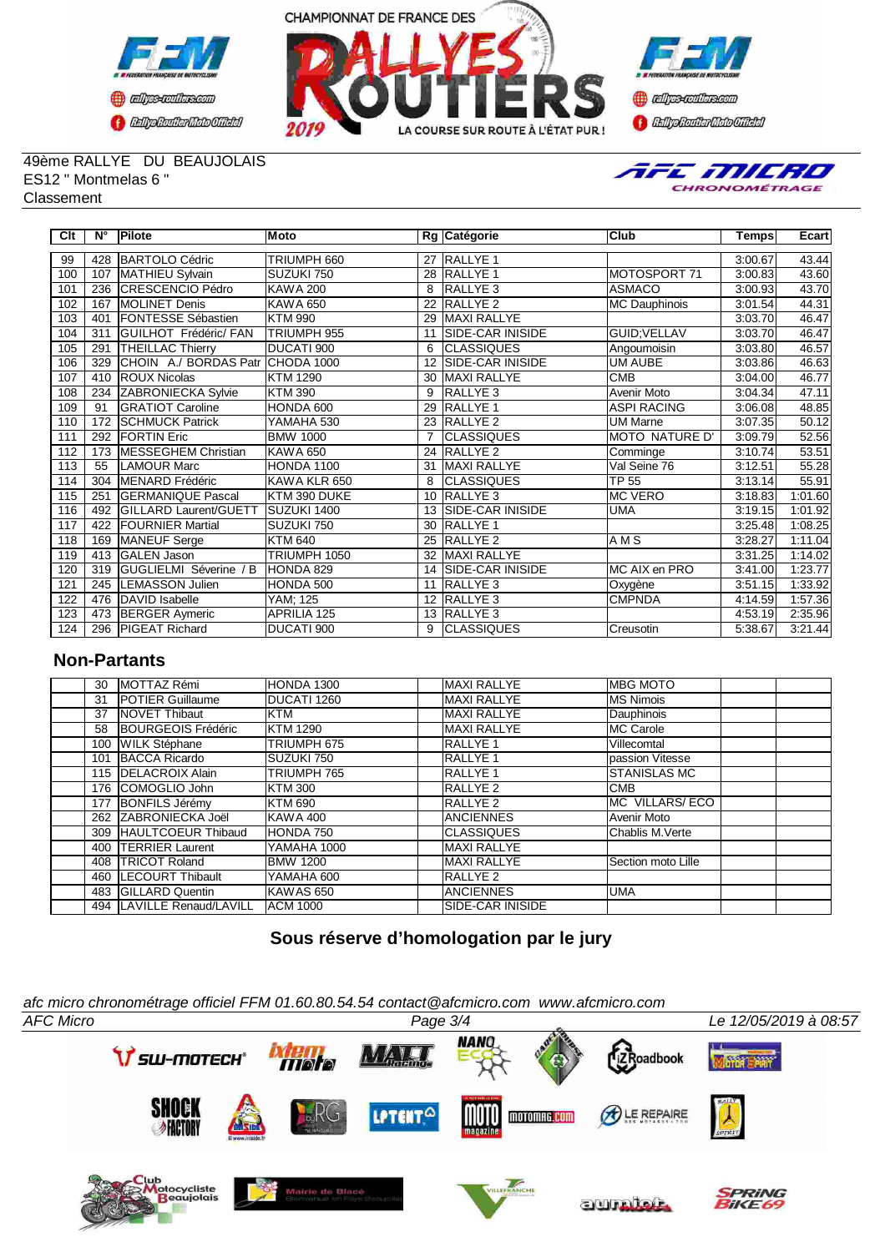





49ème RALLYE DU BEAUJOLAIS ES12 " Montmelas 6 " Classement



| Clt | N°  | Pilote                       | Moto               |                | Rg Catégorie             | lClub                 | <b>Temps</b> | Ecart   |
|-----|-----|------------------------------|--------------------|----------------|--------------------------|-----------------------|--------------|---------|
| 99  | 428 | <b>BARTOLO Cédric</b>        | TRIUMPH 660        | 27             | <b>RALLYE 1</b>          |                       | 3:00.67      | 43.44   |
| 100 | 107 | MATHIEU Sylvain              | SUZUKI 750         |                | 28 RALLYE 1              | MOTOSPORT 71          | 3:00.83      | 43.60   |
| 101 | 236 | <b>CRESCENCIO Pédro</b>      | <b>KAWA 200</b>    | 8              | <b>RALLYE 3</b>          | <b>ASMACO</b>         | 3:00.93      | 43.70   |
| 102 | 167 | MOLINET Denis                | <b>KAWA 650</b>    | 22             | RALLYE <sub>2</sub>      | MC Dauphinois         | 3:01.54      | 44.31   |
| 103 | 401 | FONTESSE Sébastien           | <b>KTM 990</b>     | 29             | <b>MAXI RALLYE</b>       |                       | 3:03.70      | 46.47   |
| 104 | 311 | GUILHOT Frédéric/ FAN        | TRIUMPH 955        | 11             | <b>ISIDE-CAR INISIDE</b> | GUID: VELLAV          | 3:03.70      | 46.47   |
| 105 | 291 | <b>THEILLAC Thierry</b>      | DUCATI 900         | 6              | <b>CLASSIQUES</b>        | Angoumoisin           | 3:03.80      | 46.57   |
| 106 | 329 | CHOIN A./ BORDAS Patr        | CHODA 1000         | 12             | <b>ISIDE-CAR INISIDE</b> | <b>UM AUBE</b>        | 3:03.86      | 46.63   |
| 107 | 410 | <b>ROUX Nicolas</b>          | <b>KTM 1290</b>    | 30             | <b>MAXI RALLYE</b>       | <b>CMB</b>            | 3:04.00      | 46.77   |
| 108 | 234 | <b>ZABRONIECKA Sylvie</b>    | <b>KTM 390</b>     | 9              | <b>RALLYE 3</b>          | <b>Avenir Moto</b>    | 3:04.34      | 47.11   |
| 109 | 91  | <b>GRATIOT Caroline</b>      | HONDA 600          | 29             | <b>RALLYE 1</b>          | <b>ASPI RACING</b>    | 3:06.08      | 48.85   |
| 110 | 172 | <b>SCHMUCK Patrick</b>       | YAMAHA 530         | 23             | <b>RALLYE 2</b>          | UM Marne              | 3:07.35      | 50.12   |
| 111 | 292 | <b>IFORTIN Eric</b>          | <b>BMW 1000</b>    | $\overline{7}$ | <b>CLASSIQUES</b>        | <b>MOTO NATURE D'</b> | 3:09.79      | 52.56   |
| 112 | 173 | MESSEGHEM Christian          | <b>KAWA 650</b>    |                | 24 RALLYE 2              | Comminge              | 3:10.74      | 53.51   |
| 113 | 55  | <b>LAMOUR Marc</b>           | HONDA 1100         | 31             | <b>MAXI RALLYE</b>       | Val Seine 76          | 3:12.51      | 55.28   |
| 114 | 304 | MENARD Frédéric              | KAWA KLR 650       | 8              | <b>CLASSIQUES</b>        | <b>TP 55</b>          | 3:13.14      | 55.91   |
| 115 | 251 | <b>GERMANIQUE Pascal</b>     | KTM 390 DUKE       | 10             | <b>RALLYE 3</b>          | <b>IMC VERO</b>       | 3:18.83      | 1:01.60 |
| 116 | 492 | <b>GILLARD Laurent/GUETT</b> | SUZUKI 1400        | 13             | <b>SIDE-CAR INISIDE</b>  | <b>UMA</b>            | 3:19.15      | 1:01.92 |
| 117 | 422 | <b>FOURNIER Martial</b>      | SUZUKI 750         | 30             | <b>RALLYE 1</b>          |                       | 3:25.48      | 1:08.25 |
| 118 | 169 | MANEUF Serge                 | <b>KTM 640</b>     | 25             | <b>RALLYE 2</b>          | AM <sub>S</sub>       | 3:28.27      | 1:11.04 |
| 119 | 413 | <b>GALEN Jason</b>           | TRIUMPH 1050       | 32             | <b>MAXI RALLYE</b>       |                       | 3:31.25      | 1:14.02 |
| 120 | 319 | GUGLIELMI Séverine / B       | HONDA 829          | 14             | SIDE-CAR INISIDE         | MC AIX en PRO         | 3:41.00      | 1:23.77 |
| 121 | 245 | LEMASSON Julien              | HONDA 500          | 11             | <b>RALLYE 3</b>          | Oxygène               | 3:51.15      | 1:33.92 |
| 122 | 476 | DAVID Isabelle               | YAM; 125           | 12             | RALLYE <sub>3</sub>      | <b>CMPNDA</b>         | 4:14.59      | 1:57.36 |
| 123 | 473 | <b>BERGER Aymeric</b>        | <b>APRILIA 125</b> |                | 13 RALLYE 3              |                       | 4:53.19      | 2:35.96 |
| 124 | 296 | <b>PIGEAT Richard</b>        | DUCATI 900         | 9              | <b>CLASSIQUES</b>        | Creusotin             | 5:38.67      | 3:21.44 |

## **Non-Partants**

| 30  | MOTTAZ Rémi                 | HONDA 1300       | <b>MAXI RALLYE</b>       | <b>IMBG MOTO</b>     |
|-----|-----------------------------|------------------|--------------------------|----------------------|
| 31  | <b>IPOTIER Guillaume</b>    | DUCATI 1260      | <b>MAXI RALLYE</b>       | <b>IMS Nimois</b>    |
| 37  | <b>INOVET Thibaut</b>       | <b>KTM</b>       | <b>MAXI RALLYE</b>       | Dauphinois           |
| 58  | BOURGEOIS Frédéric          | <b>KTM 1290</b>  | <b>MAXI RALLYE</b>       | <b>IMC Carole</b>    |
| 100 | <b>WILK Stéphane</b>        | TRIUMPH 675      | <b>RALLYE 1</b>          | Villecomtal          |
| 101 | <b>BACCA Ricardo</b>        | SUZUKI 750       | <b>RALLYE 1</b>          | passion Vitesse      |
|     | 115 <b>IDELACROIX Alain</b> | TRIUMPH 765      | <b>RALLYE 1</b>          | <b>ISTANISLAS MC</b> |
| 176 | <b>ICOMOGLIO John</b>       | KTM 300          | <b>RALLYE 2</b>          | <b>CMB</b>           |
| 177 | <b>BONFILS Jérémy</b>       | <b>KTM 690</b>   | <b>RALLYE 2</b>          | IMC VILLARS/ECO      |
|     | 262 ZABRONIECKA Joël        | <b>KAWA 400</b>  | <b>ANCIENNES</b>         | Avenir Moto          |
| 309 | <b>HAULTCOEUR Thibaud</b>   | <b>HONDA 750</b> | ICLASSIQUES              | Chablis M.Verte      |
| 400 | <b>ITERRIER Laurent</b>     | YAMAHA 1000      | <b>MAXI RALLYE</b>       |                      |
| 408 | <b>ITRICOT Roland</b>       | <b>BMW 1200</b>  | <b>MAXI RALLYE</b>       | Section moto Lille   |
| 460 | <b>ILECOURT Thibault</b>    | YAMAHA 600       | <b>IRALLYE 2</b>         |                      |
| 483 | <b>IGILLARD Quentin</b>     | KAWAS 650        | <b>ANCIENNES</b>         | <b>IUMA</b>          |
|     | 494 LAVILLE Renaud/LAVILL   | <b>ACM 1000</b>  | <b>ISIDE-CAR INISIDE</b> |                      |

# **Sous réserve d'homologation par le jury**